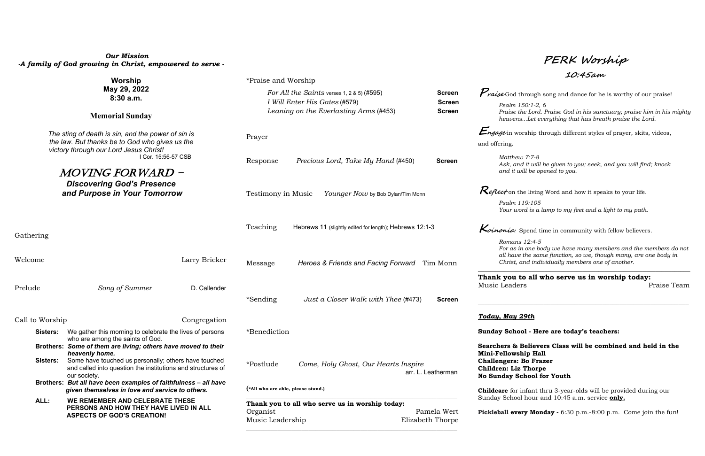## *Our Mission -A family of God growing in Christ, empowered to serve -*

| Worship<br>May 29, 2022<br>8:30a.m.<br><b>Memorial Sunday</b>                                                                                                                                    |                                                                                                                                     |                                                                                 | *Praise and Worship                                                                                                   |                                    |                                                                                                   |                                                                                                                                                                                                        | エレ・ワンルソル                                                                                                                                                                                                                         |             |  |
|--------------------------------------------------------------------------------------------------------------------------------------------------------------------------------------------------|-------------------------------------------------------------------------------------------------------------------------------------|---------------------------------------------------------------------------------|-----------------------------------------------------------------------------------------------------------------------|------------------------------------|---------------------------------------------------------------------------------------------------|--------------------------------------------------------------------------------------------------------------------------------------------------------------------------------------------------------|----------------------------------------------------------------------------------------------------------------------------------------------------------------------------------------------------------------------------------|-------------|--|
|                                                                                                                                                                                                  |                                                                                                                                     |                                                                                 | For All the Saints verses 1, 2 & 5) (#595)<br>I Will Enter His Gates (#579)<br>Leaning on the Everlasting Arms (#453) |                                    |                                                                                                   | <b>Screen</b>                                                                                                                                                                                          | <i>Praise</i> God through song and dance for he is worthy of our praise!<br>Psalm 150:1-2, 6<br>Praise the Lord. Praise God in his sanctuary; praise him in his mighty<br>heavensLet everything that has breath praise the Lord. |             |  |
|                                                                                                                                                                                                  |                                                                                                                                     |                                                                                 |                                                                                                                       |                                    |                                                                                                   | <b>Screen</b><br><b>Screen</b>                                                                                                                                                                         |                                                                                                                                                                                                                                  |             |  |
| The sting of death is sin, and the power of sin is<br>the law. But thanks be to God who gives us the<br>victory through our Lord Jesus Christ!<br>I Cor. 15:56-57 CSB<br><i>MOVING FORWARD -</i> |                                                                                                                                     |                                                                                 | Prayer                                                                                                                |                                    |                                                                                                   | <i>Engage</i> in worship through different styles of prayer, skits, videos,<br>and offering.                                                                                                           |                                                                                                                                                                                                                                  |             |  |
|                                                                                                                                                                                                  |                                                                                                                                     |                                                                                 | Response                                                                                                              | Precious Lord, Take My Hand (#450) |                                                                                                   | <b>Screen</b>                                                                                                                                                                                          | Matthew 7:7-8<br>Ask, and it will be given to you; seek, and you will find; knock<br>and it will be opened to you.                                                                                                               |             |  |
| <b>Discovering God's Presence</b><br>and Purpose in Your Tomorrow                                                                                                                                |                                                                                                                                     |                                                                                 | Testimony in Music<br>Younger Now by Bob Dylan/Tim Monn                                                               |                                    |                                                                                                   | <i>Reflect</i> on the living Word and how it speaks to your life.                                                                                                                                      |                                                                                                                                                                                                                                  |             |  |
|                                                                                                                                                                                                  |                                                                                                                                     |                                                                                 |                                                                                                                       |                                    |                                                                                                   |                                                                                                                                                                                                        | Psalm 119:105<br>Your word is a lamp to my feet and a light to my path.                                                                                                                                                          |             |  |
| Gathering                                                                                                                                                                                        |                                                                                                                                     |                                                                                 | Teaching<br>Hebrews 11 (slightly edited for length); Hebrews 12:1-3                                                   |                                    |                                                                                                   | Koinonia: Spend time in community with fellow believers.                                                                                                                                               |                                                                                                                                                                                                                                  |             |  |
| Welcome<br>Larry Bricker                                                                                                                                                                         |                                                                                                                                     |                                                                                 | Heroes & Friends and Facing Forward Tim Monn<br>Message                                                               |                                    |                                                                                                   | Romans 12:4-5<br>For as in one body we have many members and the members do not<br>all have the same function, so we, though many, are one body in<br>Christ, and individually members one of another. |                                                                                                                                                                                                                                  |             |  |
| Prelude                                                                                                                                                                                          | Song of Summer                                                                                                                      | D. Callender                                                                    |                                                                                                                       |                                    | Just a Closer Walk with Thee (#473)                                                               | <b>Screen</b>                                                                                                                                                                                          | Thank you to all who serve us in worship today:<br>Music Leaders                                                                                                                                                                 | Praise Team |  |
|                                                                                                                                                                                                  |                                                                                                                                     |                                                                                 | *Sending                                                                                                              |                                    |                                                                                                   |                                                                                                                                                                                                        |                                                                                                                                                                                                                                  |             |  |
| Call to Worship                                                                                                                                                                                  |                                                                                                                                     | Congregation                                                                    |                                                                                                                       |                                    |                                                                                                   |                                                                                                                                                                                                        | <b>Today, May 29th</b>                                                                                                                                                                                                           |             |  |
|                                                                                                                                                                                                  | <b>Sisters:</b> We gather this morning to celebrate the lives of persons<br>who are among the saints of God.                        |                                                                                 | *Benediction                                                                                                          |                                    |                                                                                                   | Sunday School - Here are today's teachers:                                                                                                                                                             |                                                                                                                                                                                                                                  |             |  |
|                                                                                                                                                                                                  | Brothers: Some of them are living; others have moved to their<br>heavenly home.                                                     |                                                                                 |                                                                                                                       |                                    |                                                                                                   | Searchers & Believers Class will be combined and held in the<br><b>Mini-Fellowship Hall</b>                                                                                                            |                                                                                                                                                                                                                                  |             |  |
| Sisters:                                                                                                                                                                                         | Some have touched us personally; others have touched<br>and called into question the institutions and structures of<br>our society. | Come, Holy Ghost, Our Hearts Inspire<br>*Postlude<br>arr. L. Leatherman         |                                                                                                                       |                                    | <b>Challengers: Bo Frazer</b><br><b>Children: Liz Thorpe</b><br><b>No Sunday School for Youth</b> |                                                                                                                                                                                                        |                                                                                                                                                                                                                                  |             |  |
|                                                                                                                                                                                                  | Brothers: But all have been examples of faithfulness - all have<br>given themselves in love and service to others.                  | (*All who are able, please stand.)                                              |                                                                                                                       |                                    | <b>Childcare</b> for infant thru 3-year-olds will be provided during our                          |                                                                                                                                                                                                        |                                                                                                                                                                                                                                  |             |  |
| ALL:                                                                                                                                                                                             | WE REMEMBER AND CELEBRATE THESE<br>PERSONS AND HOW THEY HAVE LIVED IN ALL<br><b>ASPECTS OF GOD'S CREATION!</b>                      | Thank you to all who serve us in worship today:<br>Organist<br>Music Leadership |                                                                                                                       |                                    | Pamela Wert<br>Elizabeth Thorpe                                                                   | Sunday School hour and 10:45 a.m. service only.<br>Pickleball every Monday - 6:30 p.m. -8:00 p.m. Come join the fun!                                                                                   |                                                                                                                                                                                                                                  |             |  |
|                                                                                                                                                                                                  |                                                                                                                                     |                                                                                 |                                                                                                                       |                                    |                                                                                                   |                                                                                                                                                                                                        |                                                                                                                                                                                                                                  |             |  |

**PERK Worship**

**10:45am**

## *Today, May 29th*